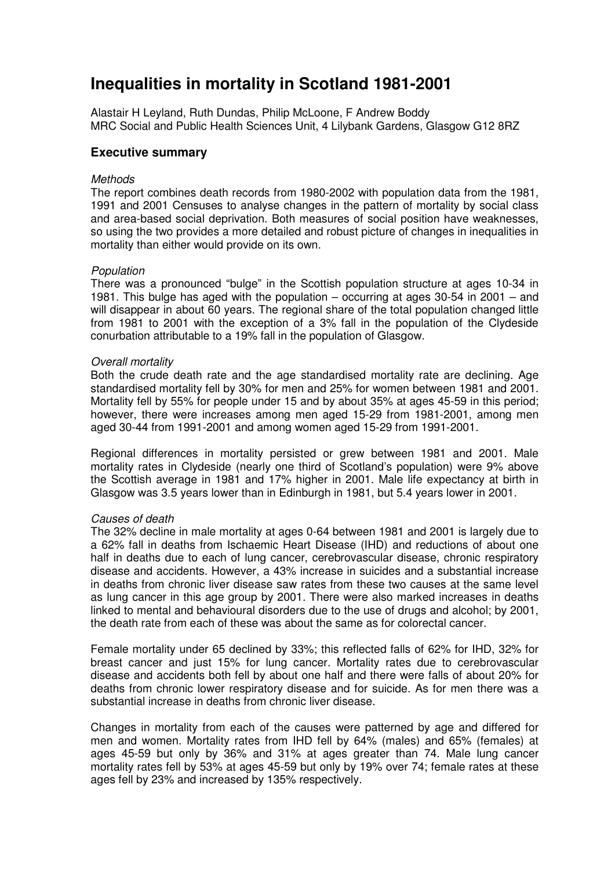# **Inequalities in mortality in Scotland 1981-2001**

Alastair H Leyland, Ruth Dundas, Philip McLoone, F Andrew Boddy MRC Social and Public Health Sciences Unit, 4 Lilybank Gardens, Glasgow G12 8RZ

# **Executive summary**

# **Methods**

The report combines death records from 1980-2002 with population data from the 1981, 1991 and 2001 Censuses to analyse changes in the pattern of mortality by social class and area-based social deprivation. Both measures of social position have weaknesses, so using the two provides a more detailed and robust picture of changes in inequalities in mortality than either would provide on its own.

# Population

There was a pronounced "bulge" in the Scottish population structure at ages 10-34 in 1981. This bulge has aged with the population – occurring at ages 30-54 in 2001 – and will disappear in about 60 years. The regional share of the total population changed little from 1981 to 2001 with the exception of a 3% fall in the population of the Clydeside conurbation attributable to a 19% fall in the population of Glasgow.

# Overall mortality

Both the crude death rate and the age standardised mortality rate are declining. Age standardised mortality fell by 30% for men and 25% for women between 1981 and 2001. Mortality fell by 55% for people under 15 and by about 35% at ages 45-59 in this period; however, there were increases among men aged 15-29 from 1981-2001, among men aged 30-44 from 1991-2001 and among women aged 15-29 from 1991-2001.

Regional differences in mortality persisted or grew between 1981 and 2001. Male mortality rates in Clydeside (nearly one third of Scotland's population) were 9% above the Scottish average in 1981 and 17% higher in 2001. Male life expectancy at birth in Glasgow was 3.5 years lower than in Edinburgh in 1981, but 5.4 years lower in 2001.

### Causes of death

The 32% decline in male mortality at ages 0-64 between 1981 and 2001 is largely due to a 62% fall in deaths from Ischaemic Heart Disease (IHD) and reductions of about one half in deaths due to each of lung cancer, cerebrovascular disease, chronic respiratory disease and accidents. However, a 43% increase in suicides and a substantial increase in deaths from chronic liver disease saw rates from these two causes at the same level as lung cancer in this age group by 2001. There were also marked increases in deaths linked to mental and behavioural disorders due to the use of drugs and alcohol; by 2001, the death rate from each of these was about the same as for colorectal cancer.

Female mortality under 65 declined by 33%; this reflected falls of 62% for IHD, 32% for breast cancer and just 15% for lung cancer. Mortality rates due to cerebrovascular disease and accidents both fell by about one half and there were falls of about 20% for deaths from chronic lower respiratory disease and for suicide. As for men there was a substantial increase in deaths from chronic liver disease.

Changes in mortality from each of the causes were patterned by age and differed for men and women. Mortality rates from IHD fell by 64% (males) and 65% (females) at ages 45-59 but only by 36% and 31% at ages greater than 74. Male lung cancer mortality rates fell by 53% at ages 45-59 but only by 19% over 74; female rates at these ages fell by 23% and increased by 135% respectively.